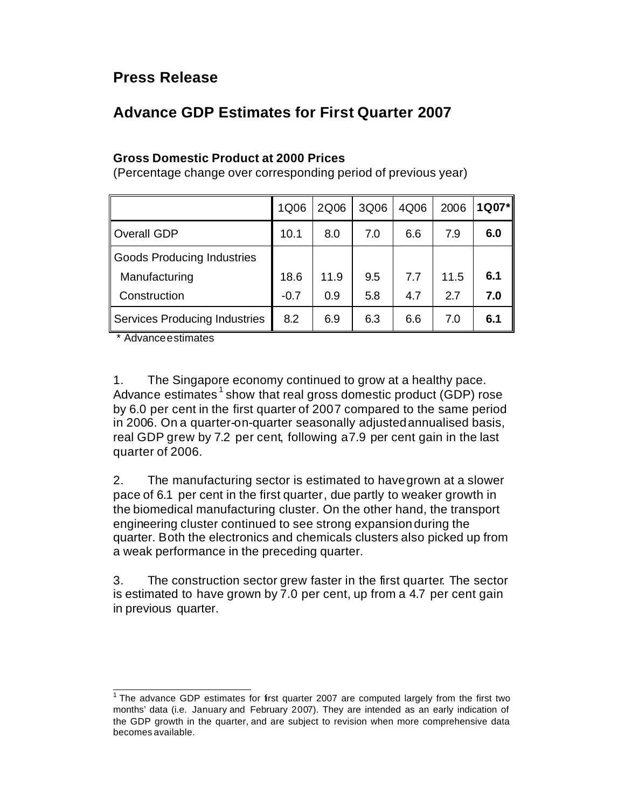## **Press Release**

## **Advance GDP Estimates for First Quarter 2007**

## **Gross Domestic Product at 2000 Prices**

(Percentage change over corresponding period of previous year)

|                                      | 1Q06   | 2Q06 | 3Q06 | 4Q06 | 2006 | 1Q07* |
|--------------------------------------|--------|------|------|------|------|-------|
| <b>Overall GDP</b>                   | 10.1   | 8.0  | 7.0  | 6.6  | 7.9  | 6.0   |
| <b>Goods Producing Industries</b>    |        |      |      |      |      |       |
| Manufacturing                        | 18.6   | 11.9 | 9.5  | 7.7  | 11.5 | 6.1   |
| Construction                         | $-0.7$ | 0.9  | 5.8  | 4.7  | 2.7  | 7.0   |
| <b>Services Producing Industries</b> | 8.2    | 6.9  | 6.3  | 6.6  | 7.0  | 6.1   |

\* Advance estimates

1. The Singapore economy continued to grow at a healthy pace. Advance estimates<sup>1</sup> show that real gross domestic product (GDP) rose by 6.0 per cent in the first quarter of 2007 compared to the same period in 2006. On a quarter-on-quarter seasonally adjusted annualised basis, real GDP grew by 7.2 per cent, following a 7.9 per cent gain in the last quarter of 2006.

2. The manufacturing sector is estimated to have grown at a slower pace of 6.1 per cent in the first quarter, due partly to weaker growth in the biomedical manufacturing cluster. On the other hand, the transport engineering cluster continued to see strong expansion during the quarter. Both the electronics and chemicals clusters also picked up from a weak performance in the preceding quarter.

3. The construction sector grew faster in the first quarter. The sector is estimated to have grown by 7.0 per cent, up from a 4.7 per cent gain in previous quarter.

 1 The advance GDP estimates for first quarter 2007 are computed largely from the first two months' data (i.e. January and February 2007). They are intended as an early indication of the GDP growth in the quarter, and are subject to revision when more comprehensive data becomes available.